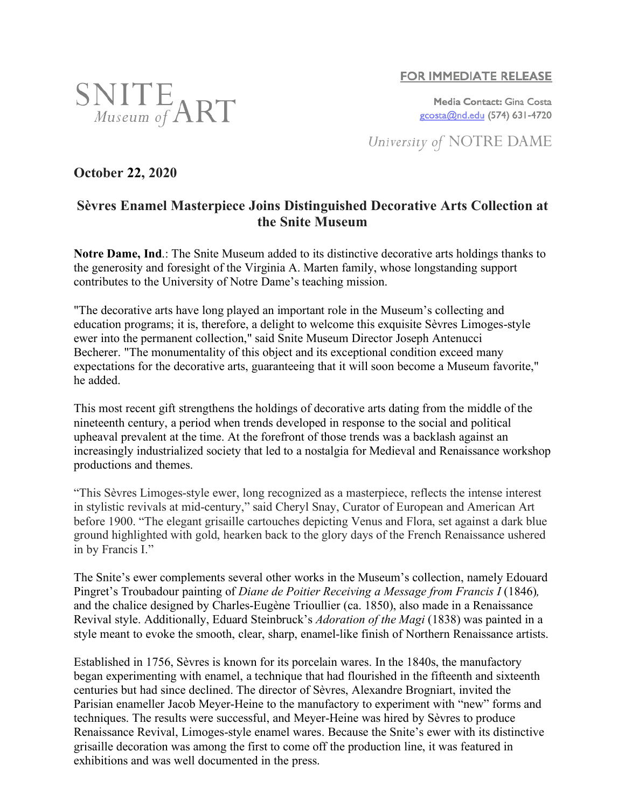## **FOR IMMEDIATE RELEASE**

Media Contact: Gina Costa gcosta@nd.edu (574) 631-4720

University of NOTRE DAME

# **October 22, 2020**

 $\frac{\text{SMITE}}{\text{Museum of ART}}$ 

## **Sèvres Enamel Masterpiece Joins Distinguished Decorative Arts Collection at the Snite Museum**

**Notre Dame, Ind**.: The Snite Museum added to its distinctive decorative arts holdings thanks to the generosity and foresight of the Virginia A. Marten family, whose longstanding support contributes to the University of Notre Dame's teaching mission.

"The decorative arts have long played an important role in the Museum's collecting and education programs; it is, therefore, a delight to welcome this exquisite Sèvres Limoges-style ewer into the permanent collection," said Snite Museum Director Joseph Antenucci Becherer. "The monumentality of this object and its exceptional condition exceed many expectations for the decorative arts, guaranteeing that it will soon become a Museum favorite," he added.

This most recent gift strengthens the holdings of decorative arts dating from the middle of the nineteenth century, a period when trends developed in response to the social and political upheaval prevalent at the time. At the forefront of those trends was a backlash against an increasingly industrialized society that led to a nostalgia for Medieval and Renaissance workshop productions and themes.

"This Sèvres Limoges-style ewer, long recognized as a masterpiece, reflects the intense interest in stylistic revivals at mid-century," said Cheryl Snay, Curator of European and American Art before 1900. "The elegant grisaille cartouches depicting Venus and Flora, set against a dark blue ground highlighted with gold, hearken back to the glory days of the French Renaissance ushered in by Francis I."

The Snite's ewer complements several other works in the Museum's collection, namely Edouard Pingret's Troubadour painting of *Diane de Poitier Receiving a Message from Francis I* (1846)*,* and the chalice designed by Charles-Eugène Trioullier (ca. 1850), also made in a Renaissance Revival style. Additionally, Eduard Steinbruck's *Adoration of the Magi* (1838) was painted in a style meant to evoke the smooth, clear, sharp, enamel-like finish of Northern Renaissance artists.

Established in 1756, Sèvres is known for its porcelain wares. In the 1840s, the manufactory began experimenting with enamel, a technique that had flourished in the fifteenth and sixteenth centuries but had since declined. The director of Sèvres, Alexandre Brogniart, invited the Parisian enameller Jacob Meyer-Heine to the manufactory to experiment with "new" forms and techniques. The results were successful, and Meyer-Heine was hired by Sèvres to produce Renaissance Revival, Limoges-style enamel wares. Because the Snite's ewer with its distinctive grisaille decoration was among the first to come off the production line, it was featured in exhibitions and was well documented in the press.